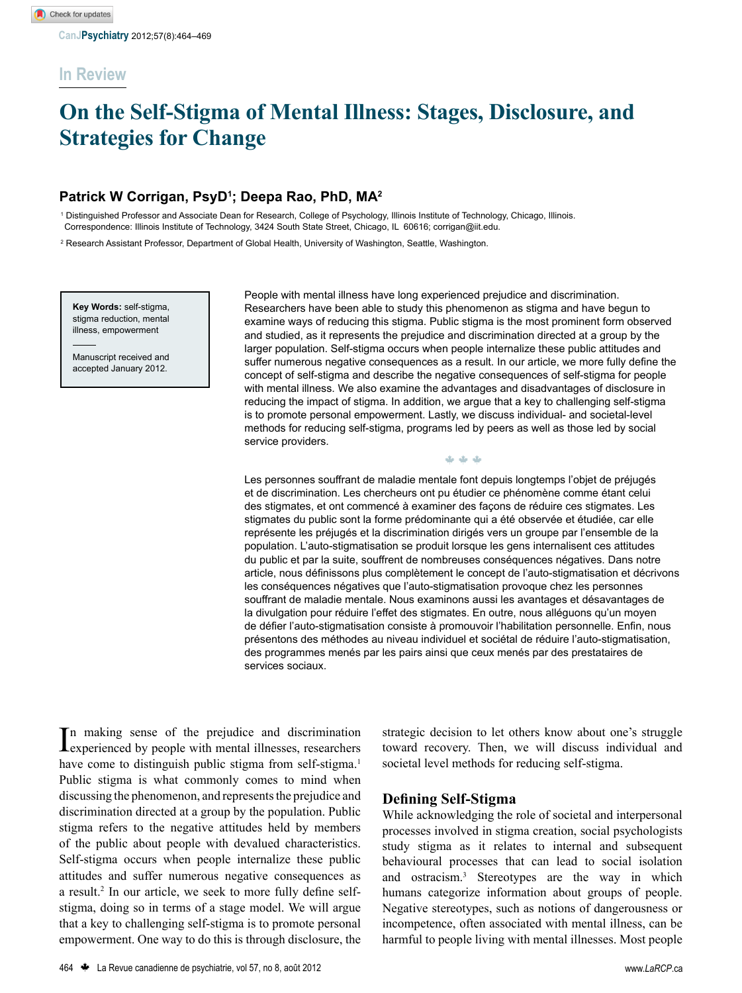# **In Review**

# **On the Self-Stigma of Mental Illness: Stages, Disclosure, and Strategies for Change**

## **Patrick W Corrigan, PsyD1 ; Deepa Rao, PhD, MA2**

1 Distinguished Professor and Associate Dean for Research, College of Psychology, Illinois Institute of Technology, Chicago, Illinois. Correspondence: Illinois Institute of Technology, 3424 South State Street, Chicago, IL 60616; corrigan@iit.edu.

2 Research Assistant Professor, Department of Global Health, University of Washington, Seattle, Washington.

**Key Words:** self-stigma, stigma reduction, mental illness, empowerment

Manuscript received and accepted January 2012.

People with mental illness have long experienced prejudice and discrimination. Researchers have been able to study this phenomenon as stigma and have begun to examine ways of reducing this stigma. Public stigma is the most prominent form observed and studied, as it represents the prejudice and discrimination directed at a group by the larger population. Self-stigma occurs when people internalize these public attitudes and suffer numerous negative consequences as a result. In our article, we more fully define the concept of self-stigma and describe the negative consequences of self-stigma for people with mental illness. We also examine the advantages and disadvantages of disclosure in reducing the impact of stigma. In addition, we argue that a key to challenging self-stigma is to promote personal empowerment. Lastly, we discuss individual- and societal-level methods for reducing self-stigma, programs led by peers as well as those led by social service providers.

W W W

Les personnes souffrant de maladie mentale font depuis longtemps l'objet de préjugés et de discrimination. Les chercheurs ont pu étudier ce phénomène comme étant celui des stigmates, et ont commencé à examiner des façons de réduire ces stigmates. Les stigmates du public sont la forme prédominante qui a été observée et étudiée, car elle représente les préjugés et la discrimination dirigés vers un groupe par l'ensemble de la population. L'auto-stigmatisation se produit lorsque les gens internalisent ces attitudes du public et par la suite, souffrent de nombreuses conséquences négatives. Dans notre article, nous définissons plus complètement le concept de l'auto-stigmatisation et décrivons les conséquences négatives que l'auto-stigmatisation provoque chez les personnes souffrant de maladie mentale. Nous examinons aussi les avantages et désavantages de la divulgation pour réduire l'effet des stigmates. En outre, nous alléguons qu'un moyen de défier l'auto-stigmatisation consiste à promouvoir l'habilitation personnelle. Enfin, nous présentons des méthodes au niveau individuel et sociétal de réduire l'auto-stigmatisation, des programmes menés par les pairs ainsi que ceux menés par des prestataires de services sociaux.

In making sense of the prejudice and discrimination<br>experienced by people with mental illnesses, researchers n making sense of the prejudice and discrimination have come to distinguish public stigma from self-stigma.<sup>1</sup> Public stigma is what commonly comes to mind when discussing the phenomenon, and represents the prejudice and discrimination directed at a group by the population. Public stigma refers to the negative attitudes held by members of the public about people with devalued characteristics. Self-stigma occurs when people internalize these public attitudes and suffer numerous negative consequences as a result.<sup>2</sup> In our article, we seek to more fully define selfstigma, doing so in terms of a stage model. We will argue that a key to challenging self-stigma is to promote personal empowerment. One way to do this is through disclosure, the

strategic decision to let others know about one's struggle toward recovery. Then, we will discuss individual and societal level methods for reducing self-stigma.

### **Defining Self-Stigma**

While acknowledging the role of societal and interpersonal processes involved in stigma creation, social psychologists study stigma as it relates to internal and subsequent behavioural processes that can lead to social isolation and ostracism.3 Stereotypes are the way in which humans categorize information about groups of people. Negative stereotypes, such as notions of dangerousness or incompetence, often associated with mental illness, can be harmful to people living with mental illnesses. Most people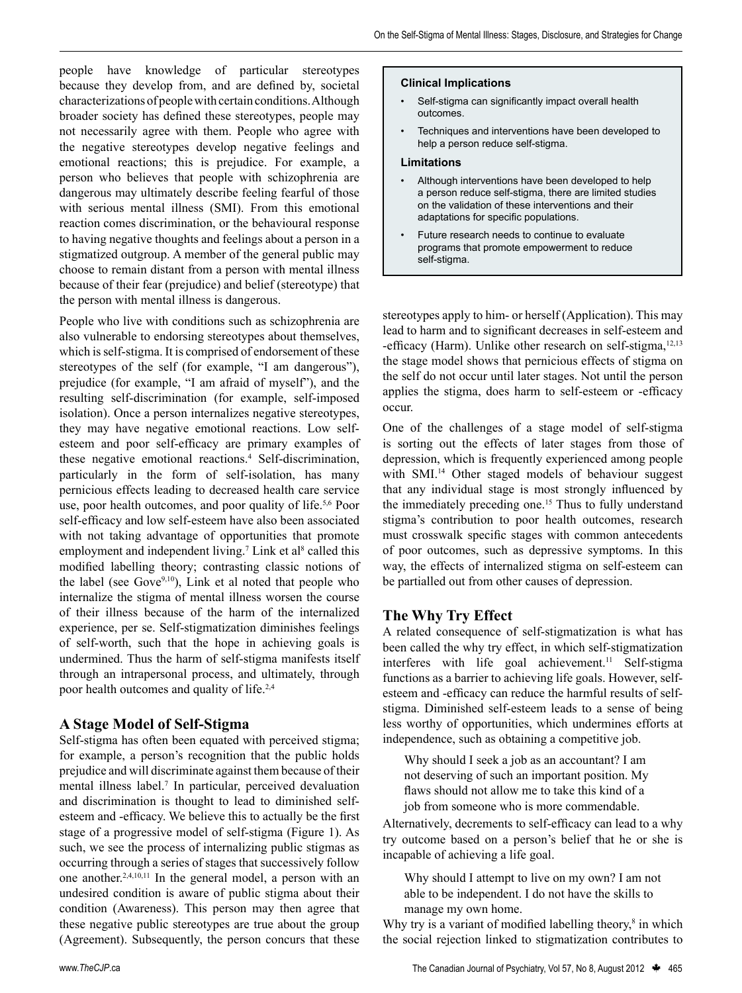people have knowledge of particular stereotypes because they develop from, and are defined by, societal characterizations of people with certain conditions. Although broader society has defined these stereotypes, people may not necessarily agree with them. People who agree with the negative stereotypes develop negative feelings and emotional reactions; this is prejudice. For example, a person who believes that people with schizophrenia are dangerous may ultimately describe feeling fearful of those with serious mental illness (SMI). From this emotional reaction comes discrimination, or the behavioural response to having negative thoughts and feelings about a person in a stigmatized outgroup. A member of the general public may choose to remain distant from a person with mental illness because of their fear (prejudice) and belief (stereotype) that the person with mental illness is dangerous.

People who live with conditions such as schizophrenia are also vulnerable to endorsing stereotypes about themselves, which is self-stigma. It is comprised of endorsement of these stereotypes of the self (for example, "I am dangerous"), prejudice (for example, "I am afraid of myself"), and the resulting self-discrimination (for example, self-imposed isolation). Once a person internalizes negative stereotypes, they may have negative emotional reactions. Low selfesteem and poor self-efficacy are primary examples of these negative emotional reactions.4 Self-discrimination, particularly in the form of self-isolation, has many pernicious effects leading to decreased health care service use, poor health outcomes, and poor quality of life.<sup>5,6</sup> Poor self-efficacy and low self-esteem have also been associated with not taking advantage of opportunities that promote employment and independent living.<sup>7</sup> Link et al<sup>8</sup> called this modified labelling theory; contrasting classic notions of the label (see Gove $9,10$ ), Link et al noted that people who internalize the stigma of mental illness worsen the course of their illness because of the harm of the internalized experience, per se. Self-stigmatization diminishes feelings of self-worth, such that the hope in achieving goals is undermined. Thus the harm of self-stigma manifests itself through an intrapersonal process, and ultimately, through poor health outcomes and quality of life.2,4

### **A Stage Model of Self-Stigma**

Self-stigma has often been equated with perceived stigma; for example, a person's recognition that the public holds prejudice and will discriminate against them because of their mental illness label.7 In particular, perceived devaluation and discrimination is thought to lead to diminished selfesteem and -efficacy. We believe this to actually be the first stage of a progressive model of self-stigma (Figure 1). As such, we see the process of internalizing public stigmas as occurring through a series of stages that successively follow one another.2,4,10,11 In the general model, a person with an undesired condition is aware of public stigma about their condition (Awareness). This person may then agree that these negative public stereotypes are true about the group (Agreement). Subsequently, the person concurs that these

#### **Clinical Implications**

- Self-stigma can significantly impact overall health outcomes.
- Techniques and interventions have been developed to help a person reduce self-stigma.

#### **Limitations**

- Although interventions have been developed to help a person reduce self-stigma, there are limited studies on the validation of these interventions and their adaptations for specific populations.
- Future research needs to continue to evaluate programs that promote empowerment to reduce self-stigma.

stereotypes apply to him- or herself (Application). This may lead to harm and to significant decreases in self-esteem and -efficacy (Harm). Unlike other research on self-stigma,<sup>12,13</sup> the stage model shows that pernicious effects of stigma on the self do not occur until later stages. Not until the person applies the stigma, does harm to self-esteem or -efficacy occur.

One of the challenges of a stage model of self-stigma is sorting out the effects of later stages from those of depression, which is frequently experienced among people with SMI.14 Other staged models of behaviour suggest that any individual stage is most strongly influenced by the immediately preceding one.<sup>15</sup> Thus to fully understand stigma's contribution to poor health outcomes, research must crosswalk specific stages with common antecedents of poor outcomes, such as depressive symptoms. In this way, the effects of internalized stigma on self-esteem can be partialled out from other causes of depression.

#### **The Why Try Effect**

A related consequence of self-stigmatization is what has been called the why try effect, in which self-stigmatization interferes with life goal achievement.<sup>11</sup> Self-stigma functions as a barrier to achieving life goals. However, selfesteem and -efficacy can reduce the harmful results of selfstigma. Diminished self-esteem leads to a sense of being less worthy of opportunities, which undermines efforts at independence, such as obtaining a competitive job.

Why should I seek a job as an accountant? I am not deserving of such an important position. My flaws should not allow me to take this kind of a job from someone who is more commendable.

Alternatively, decrements to self-efficacy can lead to a why try outcome based on a person's belief that he or she is incapable of achieving a life goal.

Why should I attempt to live on my own? I am not able to be independent. I do not have the skills to manage my own home.

Why try is a variant of modified labelling theory, $\delta$  in which the social rejection linked to stigmatization contributes to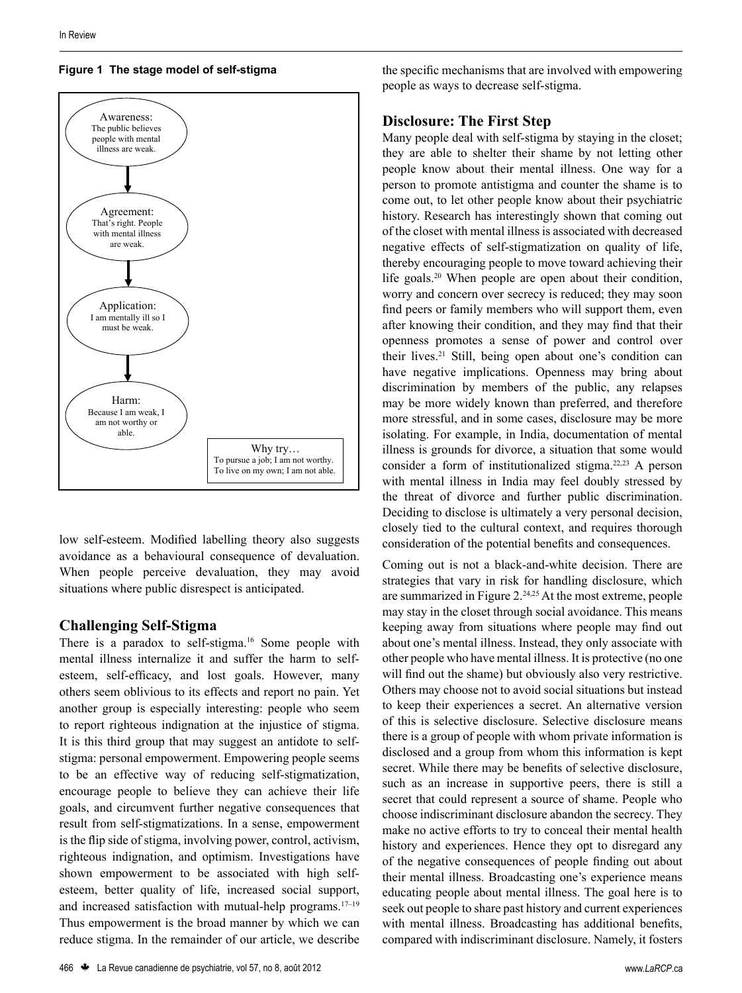

#### **Figure 1 The stage model of self-stigma**

low self-esteem. Modified labelling theory also suggests avoidance as a behavioural consequence of devaluation. When people perceive devaluation, they may avoid situations where public disrespect is anticipated.

#### **Challenging Self-Stigma**

There is a paradox to self-stigma.<sup>16</sup> Some people with mental illness internalize it and suffer the harm to selfesteem, self-efficacy, and lost goals. However, many others seem oblivious to its effects and report no pain. Yet another group is especially interesting: people who seem to report righteous indignation at the injustice of stigma. It is this third group that may suggest an antidote to selfstigma: personal empowerment. Empowering people seems to be an effective way of reducing self-stigmatization, encourage people to believe they can achieve their life goals, and circumvent further negative consequences that result from self-stigmatizations. In a sense, empowerment is the flip side of stigma, involving power, control, activism, righteous indignation, and optimism. Investigations have shown empowerment to be associated with high selfesteem, better quality of life, increased social support, and increased satisfaction with mutual-help programs. $17-19$ Thus empowerment is the broad manner by which we can reduce stigma. In the remainder of our article, we describe the specific mechanisms that are involved with empowering people as ways to decrease self-stigma.

#### **Disclosure: The First Step**

Many people deal with self-stigma by staying in the closet; they are able to shelter their shame by not letting other people know about their mental illness. One way for a person to promote antistigma and counter the shame is to come out, to let other people know about their psychiatric history. Research has interestingly shown that coming out of the closet with mental illness is associated with decreased negative effects of self-stigmatization on quality of life, thereby encouraging people to move toward achieving their life goals.<sup>20</sup> When people are open about their condition, worry and concern over secrecy is reduced; they may soon find peers or family members who will support them, even after knowing their condition, and they may find that their openness promotes a sense of power and control over their lives.<sup>21</sup> Still, being open about one's condition can have negative implications. Openness may bring about discrimination by members of the public, any relapses may be more widely known than preferred, and therefore more stressful, and in some cases, disclosure may be more isolating. For example, in India, documentation of mental illness is grounds for divorce, a situation that some would consider a form of institutionalized stigma.22,23 A person with mental illness in India may feel doubly stressed by the threat of divorce and further public discrimination. Deciding to disclose is ultimately a very personal decision, closely tied to the cultural context, and requires thorough consideration of the potential benefits and consequences.

Coming out is not a black-and-white decision. There are strategies that vary in risk for handling disclosure, which are summarized in Figure 2.24,25 At the most extreme, people may stay in the closet through social avoidance. This means keeping away from situations where people may find out about one's mental illness. Instead, they only associate with other people who have mental illness. It is protective (no one will find out the shame) but obviously also very restrictive. Others may choose not to avoid social situations but instead to keep their experiences a secret. An alternative version of this is selective disclosure. Selective disclosure means there is a group of people with whom private information is disclosed and a group from whom this information is kept secret. While there may be benefits of selective disclosure, such as an increase in supportive peers, there is still a secret that could represent a source of shame. People who choose indiscriminant disclosure abandon the secrecy. They make no active efforts to try to conceal their mental health history and experiences. Hence they opt to disregard any of the negative consequences of people finding out about their mental illness. Broadcasting one's experience means educating people about mental illness. The goal here is to seek out people to share past history and current experiences with mental illness. Broadcasting has additional benefits, compared with indiscriminant disclosure. Namely, it fosters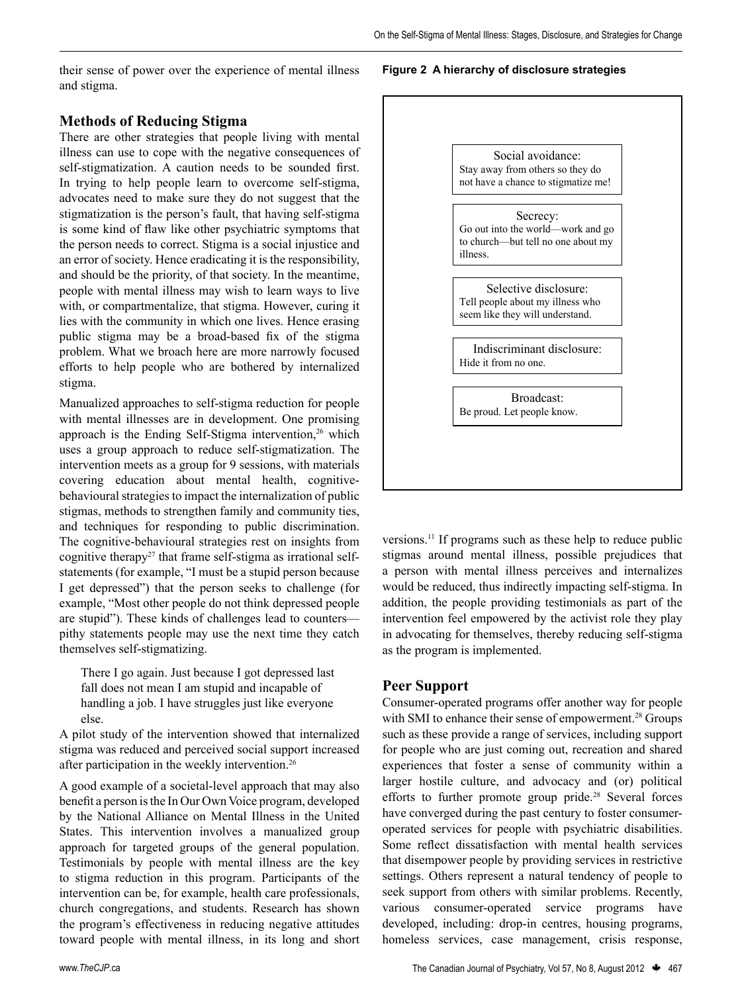their sense of power over the experience of mental illness and stigma.

#### **Methods of Reducing Stigma**

There are other strategies that people living with mental illness can use to cope with the negative consequences of self-stigmatization. A caution needs to be sounded first. In trying to help people learn to overcome self-stigma, advocates need to make sure they do not suggest that the stigmatization is the person's fault, that having self-stigma is some kind of flaw like other psychiatric symptoms that the person needs to correct. Stigma is a social injustice and an error of society. Hence eradicating it is the responsibility, and should be the priority, of that society. In the meantime, people with mental illness may wish to learn ways to live with, or compartmentalize, that stigma. However, curing it lies with the community in which one lives. Hence erasing public stigma may be a broad-based fix of the stigma problem. What we broach here are more narrowly focused efforts to help people who are bothered by internalized stigma.

Manualized approaches to self-stigma reduction for people with mental illnesses are in development. One promising approach is the Ending Self-Stigma intervention,<sup>26</sup> which uses a group approach to reduce self-stigmatization. The intervention meets as a group for 9 sessions, with materials covering education about mental health, cognitivebehavioural strategies to impact the internalization of public stigmas, methods to strengthen family and community ties, and techniques for responding to public discrimination. The cognitive-behavioural strategies rest on insights from cognitive therapy<sup>27</sup> that frame self-stigma as irrational selfstatements (for example, "I must be a stupid person because I get depressed") that the person seeks to challenge (for example, "Most other people do not think depressed people are stupid"). These kinds of challenges lead to counters pithy statements people may use the next time they catch themselves self-stigmatizing.

There I go again. Just because I got depressed last fall does not mean I am stupid and incapable of handling a job. I have struggles just like everyone else.

A pilot study of the intervention showed that internalized stigma was reduced and perceived social support increased after participation in the weekly intervention.26

A good example of a societal-level approach that may also benefit a person is the In Our Own Voice program, developed by the National Alliance on Mental Illness in the United States. This intervention involves a manualized group approach for targeted groups of the general population. Testimonials by people with mental illness are the key to stigma reduction in this program. Participants of the intervention can be, for example, health care professionals, church congregations, and students. Research has shown the program's effectiveness in reducing negative attitudes toward people with mental illness, in its long and short

#### **Figure 2 A hierarchy of disclosure strategies**

Figure 2. A hierarchy of disclosure strategies



versions.11 If programs such as these help to reduce public stigmas around mental illness, possible prejudices that a person with mental illness perceives and internalizes would be reduced, thus indirectly impacting self-stigma. In addition, the people providing testimonials as part of the intervention feel empowered by the activist role they play in advocating for themselves, thereby reducing self-stigma as the program is implemented.

#### **Peer Support**

Consumer-operated programs offer another way for people with SMI to enhance their sense of empowerment.<sup>28</sup> Groups such as these provide a range of services, including support for people who are just coming out, recreation and shared experiences that foster a sense of community within a larger hostile culture, and advocacy and (or) political efforts to further promote group pride.<sup>28</sup> Several forces have converged during the past century to foster consumeroperated services for people with psychiatric disabilities. Some reflect dissatisfaction with mental health services that disempower people by providing services in restrictive settings. Others represent a natural tendency of people to seek support from others with similar problems. Recently, various consumer-operated service programs have developed, including: drop-in centres, housing programs, homeless services, case management, crisis response,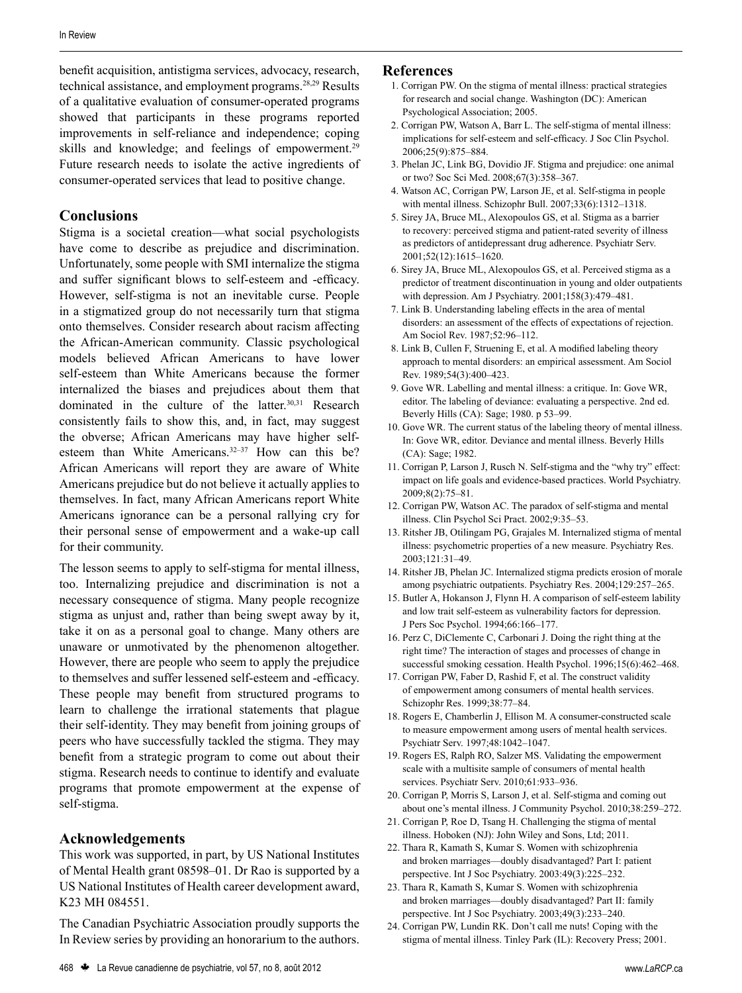benefit acquisition, antistigma services, advocacy, research, technical assistance, and employment programs.28,29 Results of a qualitative evaluation of consumer-operated programs showed that participants in these programs reported improvements in self-reliance and independence; coping skills and knowledge; and feelings of empowerment.<sup>29</sup> Future research needs to isolate the active ingredients of consumer-operated services that lead to positive change.

#### **Conclusions**

Stigma is a societal creation—what social psychologists have come to describe as prejudice and discrimination. Unfortunately, some people with SMI internalize the stigma and suffer significant blows to self-esteem and -efficacy. However, self-stigma is not an inevitable curse. People in a stigmatized group do not necessarily turn that stigma onto themselves. Consider research about racism affecting the African-American community. Classic psychological models believed African Americans to have lower self-esteem than White Americans because the former internalized the biases and prejudices about them that dominated in the culture of the latter.30,31 Research consistently fails to show this, and, in fact, may suggest the obverse; African Americans may have higher selfesteem than White Americans.<sup>32-37</sup> How can this be? African Americans will report they are aware of White Americans prejudice but do not believe it actually applies to themselves. In fact, many African Americans report White Americans ignorance can be a personal rallying cry for their personal sense of empowerment and a wake-up call for their community.

The lesson seems to apply to self-stigma for mental illness, too. Internalizing prejudice and discrimination is not a necessary consequence of stigma. Many people recognize stigma as unjust and, rather than being swept away by it, take it on as a personal goal to change. Many others are unaware or unmotivated by the phenomenon altogether. However, there are people who seem to apply the prejudice to themselves and suffer lessened self-esteem and -efficacy. These people may benefit from structured programs to learn to challenge the irrational statements that plague their self-identity. They may benefit from joining groups of peers who have successfully tackled the stigma. They may benefit from a strategic program to come out about their stigma. Research needs to continue to identify and evaluate programs that promote empowerment at the expense of self-stigma.

#### **Acknowledgements**

This work was supported, in part, by US National Institutes of Mental Health grant 08598–01. Dr Rao is supported by a US National Institutes of Health career development award, K23 MH 084551.

The Canadian Psychiatric Association proudly supports the In Review series by providing an honorarium to the authors.

**References**

Psychological Association; 2005.

2. Corrigan PW, Watson A, Barr L. The self-stigma of mental illness: implications for self-esteem and self-efficacy. J Soc Clin Psychol. 2006;25(9):875–884.

1. Corrigan PW. On the stigma of mental illness: practical strategies for research and social change. Washington (DC): American

- 3. Phelan JC, Link BG, Dovidio JF. Stigma and prejudice: one animal or two? Soc Sci Med. 2008;67(3):358–367.
- 4. Watson AC, Corrigan PW, Larson JE, et al. Self-stigma in people with mental illness. Schizophr Bull. 2007;33(6):1312–1318.
- 5. Sirey JA, Bruce ML, Alexopoulos GS, et al. Stigma as a barrier to recovery: perceived stigma and patient-rated severity of illness as predictors of antidepressant drug adherence. Psychiatr Serv. 2001;52(12):1615–1620.
- 6. Sirey JA, Bruce ML, Alexopoulos GS, et al. Perceived stigma as a predictor of treatment discontinuation in young and older outpatients with depression. Am J Psychiatry. 2001;158(3):479–481.
- 7. Link B. Understanding labeling effects in the area of mental disorders: an assessment of the effects of expectations of rejection. Am Sociol Rev. 1987;52:96–112.
- 8. Link B, Cullen F, Struening E, et al. A modified labeling theory approach to mental disorders: an empirical assessment. Am Sociol Rev. 1989;54(3):400–423.
- 9. Gove WR. Labelling and mental illness: a critique. In: Gove WR, editor. The labeling of deviance: evaluating a perspective. 2nd ed. Beverly Hills (CA): Sage; 1980. p 53–99.
- 10. Gove WR. The current status of the labeling theory of mental illness. In: Gove WR, editor. Deviance and mental illness. Beverly Hills (CA): Sage; 1982.
- 11. Corrigan P, Larson J, Rusch N. Self-stigma and the "why try" effect: impact on life goals and evidence-based practices. World Psychiatry. 2009;8(2):75–81.
- 12. Corrigan PW, Watson AC. The paradox of self-stigma and mental illness. Clin Psychol Sci Pract. 2002;9:35–53.
- 13. Ritsher JB, Otilingam PG, Grajales M. Internalized stigma of mental illness: psychometric properties of a new measure. Psychiatry Res. 2003;121:31–49.
- 14. Ritsher JB, Phelan JC. Internalized stigma predicts erosion of morale among psychiatric outpatients. Psychiatry Res. 2004;129:257–265.
- 15. Butler A, Hokanson J, Flynn H. A comparison of self-esteem lability and low trait self-esteem as vulnerability factors for depression. J Pers Soc Psychol. 1994;66:166–177.
- 16. Perz C, DiClemente C, Carbonari J. Doing the right thing at the right time? The interaction of stages and processes of change in successful smoking cessation. Health Psychol. 1996;15(6):462–468.
- 17. Corrigan PW, Faber D, Rashid F, et al. The construct validity of empowerment among consumers of mental health services. Schizophr Res. 1999;38:77–84.
- 18. Rogers E, Chamberlin J, Ellison M. A consumer-constructed scale to measure empowerment among users of mental health services. Psychiatr Serv. 1997;48:1042–1047.
- 19. Rogers ES, Ralph RO, Salzer MS. Validating the empowerment scale with a multisite sample of consumers of mental health services. Psychiatr Serv. 2010;61:933–936.
- 20. Corrigan P, Morris S, Larson J, et al. Self-stigma and coming out about one's mental illness. J Community Psychol. 2010;38:259–272.
- 21. Corrigan P, Roe D, Tsang H. Challenging the stigma of mental illness. Hoboken (NJ): John Wiley and Sons, Ltd; 2011.
- 22. Thara R, Kamath S, Kumar S. Women with schizophrenia and broken marriages—doubly disadvantaged? Part I: patient perspective. Int J Soc Psychiatry. 2003:49(3):225–232.
- 23. Thara R, Kamath S, Kumar S. Women with schizophrenia and broken marriages—doubly disadvantaged? Part II: family perspective. Int J Soc Psychiatry. 2003;49(3):233–240.
- 24. Corrigan PW, Lundin RK. Don't call me nuts! Coping with the stigma of mental illness. Tinley Park (IL): Recovery Press; 2001.